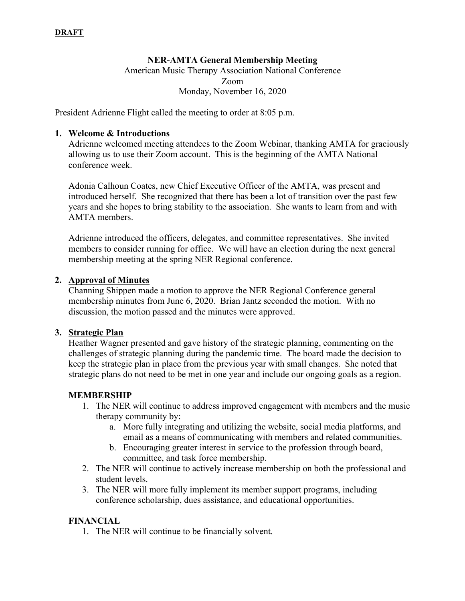### **NER-AMTA General Membership Meeting**

American Music Therapy Association National Conference Zoom Monday, November 16, 2020

President Adrienne Flight called the meeting to order at 8:05 p.m.

### **1. Welcome & Introductions**

Adrienne welcomed meeting attendees to the Zoom Webinar, thanking AMTA for graciously allowing us to use their Zoom account. This is the beginning of the AMTA National conference week.

Adonia Calhoun Coates, new Chief Executive Officer of the AMTA, was present and introduced herself. She recognized that there has been a lot of transition over the past few years and she hopes to bring stability to the association. She wants to learn from and with AMTA members.

Adrienne introduced the officers, delegates, and committee representatives. She invited members to consider running for office. We will have an election during the next general membership meeting at the spring NER Regional conference.

#### **2. Approval of Minutes**

Channing Shippen made a motion to approve the NER Regional Conference general membership minutes from June 6, 2020. Brian Jantz seconded the motion. With no discussion, the motion passed and the minutes were approved.

#### **3. Strategic Plan**

Heather Wagner presented and gave history of the strategic planning, commenting on the challenges of strategic planning during the pandemic time. The board made the decision to keep the strategic plan in place from the previous year with small changes. She noted that strategic plans do not need to be met in one year and include our ongoing goals as a region.

### **MEMBERSHIP**

- 1. The NER will continue to address improved engagement with members and the music therapy community by:
	- a. More fully integrating and utilizing the website, social media platforms, and email as a means of communicating with members and related communities.
	- b. Encouraging greater interest in service to the profession through board, committee, and task force membership.
- 2. The NER will continue to actively increase membership on both the professional and student levels.
- 3. The NER will more fully implement its member support programs, including conference scholarship, dues assistance, and educational opportunities.

### **FINANCIAL**

1. The NER will continue to be financially solvent.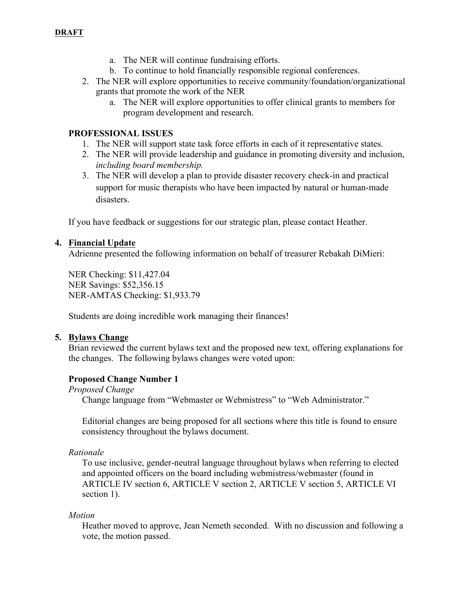- a. The NER will continue fundraising efforts.
- b. To continue to hold financially responsible regional conferences.
- 2. The NER will explore opportunities to receive community/foundation/organizational grants that promote the work of the NER
	- a. The NER will explore opportunities to offer clinical grants to members for program development and research.

### **PROFESSIONAL ISSUES**

- 1. The NER will support state task force efforts in each of it representative states.
- 2. The NER will provide leadership and guidance in promoting diversity and inclusion, *including board membership.*
- 3. The NER will develop a plan to provide disaster recovery check-in and practical support for music therapists who have been impacted by natural or human-made disasters.

If you have feedback or suggestions for our strategic plan, please contact Heather.

### **4. Financial Update**

Adrienne presented the following information on behalf of treasurer Rebakah DiMieri:

NER Checking: \$11,427.04 NER Savings: \$52,356.15 NER-AMTAS Checking: \$1,933.79

Students are doing incredible work managing their finances!

### **5. Bylaws Change**

Brian reviewed the current bylaws text and the proposed new text, offering explanations for the changes. The following bylaws changes were voted upon:

### **Proposed Change Number 1**

*Proposed Change*

Change language from "Webmaster or Webmistress" to "Web Administrator."

Editorial changes are being proposed for all sections where this title is found to ensure consistency throughout the bylaws document.

### *Rationale*

To use inclusive, gender-neutral language throughout bylaws when referring to elected and appointed officers on the board including webmistress/webmaster (found in ARTICLE IV section 6, ARTICLE V section 2, ARTICLE V section 5, ARTICLE VI section 1).

### *Motion*

Heather moved to approve, Jean Nemeth seconded. With no discussion and following a vote, the motion passed.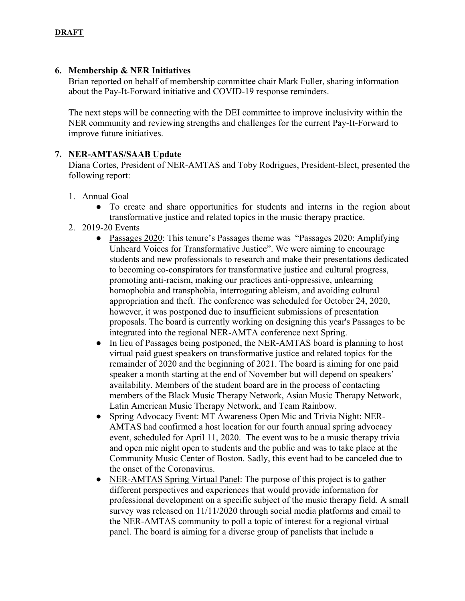### **6. Membership & NER Initiatives**

Brian reported on behalf of membership committee chair Mark Fuller, sharing information about the Pay-It-Forward initiative and COVID-19 response reminders.

The next steps will be connecting with the DEI committee to improve inclusivity within the NER community and reviewing strengths and challenges for the current Pay-It-Forward to improve future initiatives.

### **7. NER-AMTAS/SAAB Update**

Diana Cortes, President of NER-AMTAS and Toby Rodrigues, President-Elect, presented the following report:

- 1. Annual Goal
	- To create and share opportunities for students and interns in the region about transformative justice and related topics in the music therapy practice.
- 2. 2019-20 Events
	- Passages 2020: This tenure's Passages theme was "Passages 2020: Amplifying Unheard Voices for Transformative Justice". We were aiming to encourage students and new professionals to research and make their presentations dedicated to becoming co-conspirators for transformative justice and cultural progress, promoting anti-racism, making our practices anti-oppressive, unlearning homophobia and transphobia, interrogating ableism, and avoiding cultural appropriation and theft. The conference was scheduled for October 24, 2020, however, it was postponed due to insufficient submissions of presentation proposals. The board is currently working on designing this year's Passages to be integrated into the regional NER-AMTA conference next Spring.
	- In lieu of Passages being postponed, the NER-AMTAS board is planning to host virtual paid guest speakers on transformative justice and related topics for the remainder of 2020 and the beginning of 2021. The board is aiming for one paid speaker a month starting at the end of November but will depend on speakers' availability. Members of the student board are in the process of contacting members of the Black Music Therapy Network, Asian Music Therapy Network, Latin American Music Therapy Network, and Team Rainbow.
	- Spring Advocacy Event: MT Awareness Open Mic and Trivia Night: NER-AMTAS had confirmed a host location for our fourth annual spring advocacy event, scheduled for April 11, 2020. The event was to be a music therapy trivia and open mic night open to students and the public and was to take place at the Community Music Center of Boston. Sadly, this event had to be canceled due to the onset of the Coronavirus.
	- NER-AMTAS Spring Virtual Panel: The purpose of this project is to gather different perspectives and experiences that would provide information for professional development on a specific subject of the music therapy field. A small survey was released on 11/11/2020 through social media platforms and email to the NER-AMTAS community to poll a topic of interest for a regional virtual panel. The board is aiming for a diverse group of panelists that include a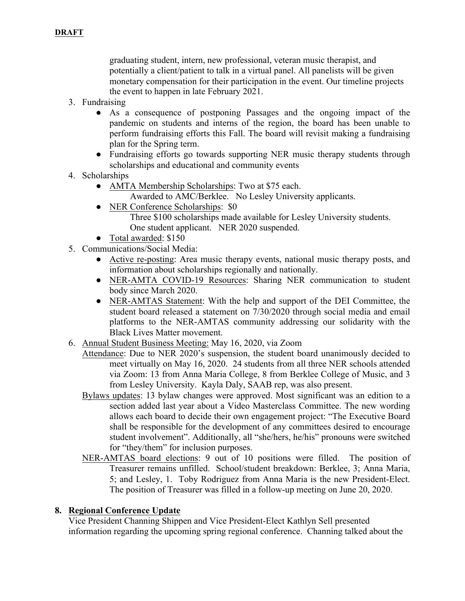graduating student, intern, new professional, veteran music therapist, and potentially a client/patient to talk in a virtual panel. All panelists will be given monetary compensation for their participation in the event. Our timeline projects the event to happen in late February 2021.

- 3. Fundraising
	- As a consequence of postponing Passages and the ongoing impact of the pandemic on students and interns of the region, the board has been unable to perform fundraising efforts this Fall. The board will revisit making a fundraising plan for the Spring term.
	- Fundraising efforts go towards supporting NER music therapy students through scholarships and educational and community events
- 4. Scholarships
	- AMTA Membership Scholarships: Two at \$75 each.
		- Awarded to AMC/Berklee. No Lesley University applicants.
	- NER Conference Scholarships: \$0
		- Three \$100 scholarships made available for Lesley University students. One student applicant. NER 2020 suspended.
	- Total awarded: \$150
- 5. Communications/Social Media:
	- Active re-posting: Area music therapy events, national music therapy posts, and information about scholarships regionally and nationally.
	- NER-AMTA COVID-19 Resources: Sharing NER communication to student body since March 2020.
	- NER-AMTAS Statement: With the help and support of the DEI Committee, the student board released a statement on 7/30/2020 through social media and email platforms to the NER-AMTAS community addressing our solidarity with the Black Lives Matter movement.
- 6. Annual Student Business Meeting: May 16, 2020, via Zoom
	- Attendance: Due to NER 2020's suspension, the student board unanimously decided to meet virtually on May 16, 2020. 24 students from all three NER schools attended via Zoom: 13 from Anna Maria College, 8 from Berklee College of Music, and 3 from Lesley University. Kayla Daly, SAAB rep, was also present.
	- Bylaws updates: 13 bylaw changes were approved. Most significant was an edition to a section added last year about a Video Masterclass Committee. The new wording allows each board to decide their own engagement project: "The Executive Board shall be responsible for the development of any committees desired to encourage student involvement". Additionally, all "she/hers, he/his" pronouns were switched for "they/them" for inclusion purposes.
	- NER-AMTAS board elections: 9 out of 10 positions were filled. The position of Treasurer remains unfilled. School/student breakdown: Berklee, 3; Anna Maria, 5; and Lesley, 1. Toby Rodriguez from Anna Maria is the new President-Elect. The position of Treasurer was filled in a follow-up meeting on June 20, 2020.

### **8. Regional Conference Update**

Vice President Channing Shippen and Vice President-Elect Kathlyn Sell presented information regarding the upcoming spring regional conference. Channing talked about the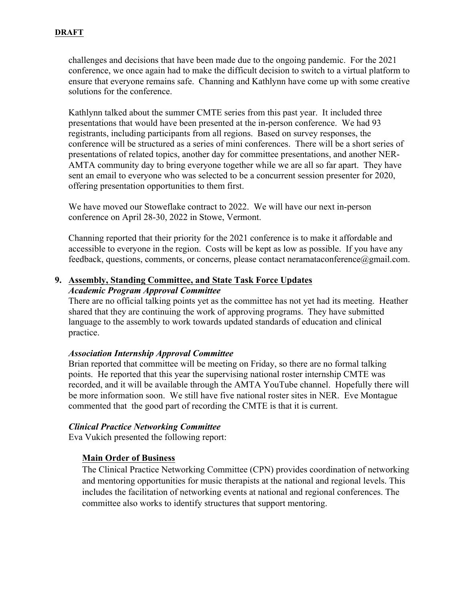### **DRAFT**

challenges and decisions that have been made due to the ongoing pandemic. For the 2021 conference, we once again had to make the difficult decision to switch to a virtual platform to ensure that everyone remains safe. Channing and Kathlynn have come up with some creative solutions for the conference.

Kathlynn talked about the summer CMTE series from this past year. It included three presentations that would have been presented at the in-person conference. We had 93 registrants, including participants from all regions. Based on survey responses, the conference will be structured as a series of mini conferences. There will be a short series of presentations of related topics, another day for committee presentations, and another NER-AMTA community day to bring everyone together while we are all so far apart. They have sent an email to everyone who was selected to be a concurrent session presenter for 2020, offering presentation opportunities to them first.

We have moved our Stoweflake contract to 2022. We will have our next in-person conference on April 28-30, 2022 in Stowe, Vermont.

Channing reported that their priority for the 2021 conference is to make it affordable and accessible to everyone in the region. Costs will be kept as low as possible. If you have any feedback, questions, comments, or concerns, please contact neramataconference@gmail.com.

### **9. Assembly, Standing Committee, and State Task Force Updates** *Academic Program Approval Committee*

There are no official talking points yet as the committee has not yet had its meeting. Heather shared that they are continuing the work of approving programs. They have submitted language to the assembly to work towards updated standards of education and clinical practice.

### *Association Internship Approval Committee*

Brian reported that committee will be meeting on Friday, so there are no formal talking points. He reported that this year the supervising national roster internship CMTE was recorded, and it will be available through the AMTA YouTube channel. Hopefully there will be more information soon. We still have five national roster sites in NER. Eve Montague commented that the good part of recording the CMTE is that it is current.

### *Clinical Practice Networking Committee*

Eva Vukich presented the following report:

### **Main Order of Business**

The Clinical Practice Networking Committee (CPN) provides coordination of networking and mentoring opportunities for music therapists at the national and regional levels. This includes the facilitation of networking events at national and regional conferences. The committee also works to identify structures that support mentoring.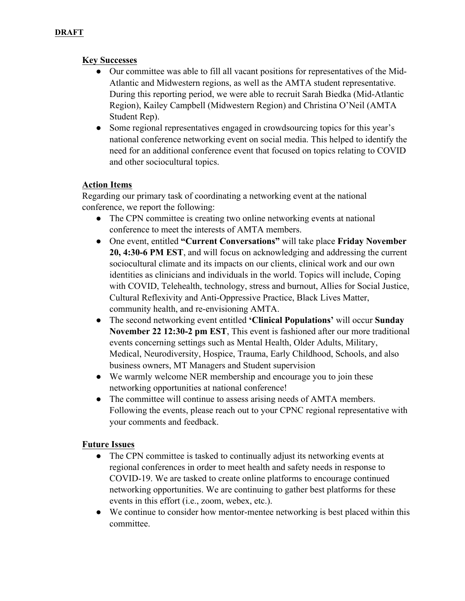# **Key Successes**

- Our committee was able to fill all vacant positions for representatives of the Mid-Atlantic and Midwestern regions, as well as the AMTA student representative. During this reporting period, we were able to recruit Sarah Biedka (Mid-Atlantic Region), Kailey Campbell (Midwestern Region) and Christina O'Neil (AMTA Student Rep).
- Some regional representatives engaged in crowdsourcing topics for this year's national conference networking event on social media. This helped to identify the need for an additional conference event that focused on topics relating to COVID and other sociocultural topics.

# **Action Items**

Regarding our primary task of coordinating a networking event at the national conference, we report the following:

- The CPN committee is creating two online networking events at national conference to meet the interests of AMTA members.
- One event, entitled **"Current Conversations"** will take place **Friday November 20, 4:30-6 PM EST**, and will focus on acknowledging and addressing the current sociocultural climate and its impacts on our clients, clinical work and our own identities as clinicians and individuals in the world. Topics will include, Coping with COVID, Telehealth, technology, stress and burnout, Allies for Social Justice, Cultural Reflexivity and Anti-Oppressive Practice, Black Lives Matter, community health, and re-envisioning AMTA.
- The second networking event entitled **'Clinical Populations'** will occur **Sunday November 22 12:30-2 pm EST**, This event is fashioned after our more traditional events concerning settings such as Mental Health, Older Adults, Military, Medical, Neurodiversity, Hospice, Trauma, Early Childhood, Schools, and also business owners, MT Managers and Student supervision
- We warmly welcome NER membership and encourage you to join these networking opportunities at national conference!
- The committee will continue to assess arising needs of AMTA members. Following the events, please reach out to your CPNC regional representative with your comments and feedback.

# **Future Issues**

- The CPN committee is tasked to continually adjust its networking events at regional conferences in order to meet health and safety needs in response to COVID-19. We are tasked to create online platforms to encourage continued networking opportunities. We are continuing to gather best platforms for these events in this effort (i.e., zoom, webex, etc.).
- We continue to consider how mentor-mentee networking is best placed within this committee.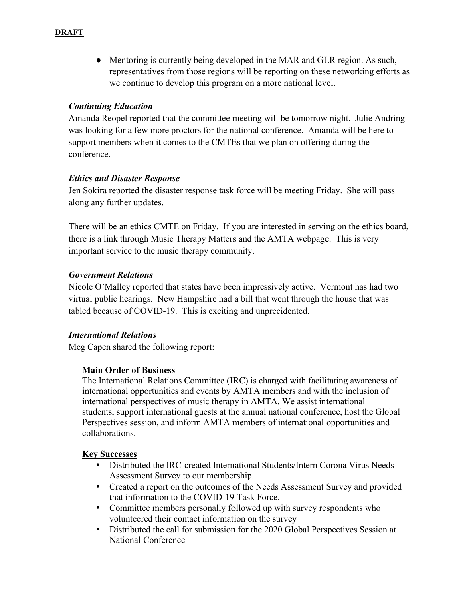• Mentoring is currently being developed in the MAR and GLR region. As such, representatives from those regions will be reporting on these networking efforts as we continue to develop this program on a more national level.

### *Continuing Education*

Amanda Reopel reported that the committee meeting will be tomorrow night. Julie Andring was looking for a few more proctors for the national conference. Amanda will be here to support members when it comes to the CMTEs that we plan on offering during the conference.

### *Ethics and Disaster Response*

Jen Sokira reported the disaster response task force will be meeting Friday. She will pass along any further updates.

There will be an ethics CMTE on Friday. If you are interested in serving on the ethics board, there is a link through Music Therapy Matters and the AMTA webpage. This is very important service to the music therapy community.

# *Government Relations*

Nicole O'Malley reported that states have been impressively active. Vermont has had two virtual public hearings. New Hampshire had a bill that went through the house that was tabled because of COVID-19. This is exciting and unprecidented.

# *International Relations*

Meg Capen shared the following report:

### **Main Order of Business**

The International Relations Committee (IRC) is charged with facilitating awareness of international opportunities and events by AMTA members and with the inclusion of international perspectives of music therapy in AMTA. We assist international students, support international guests at the annual national conference, host the Global Perspectives session, and inform AMTA members of international opportunities and collaborations.

### **Key Successes**

- Distributed the IRC-created International Students/Intern Corona Virus Needs Assessment Survey to our membership.
- Created a report on the outcomes of the Needs Assessment Survey and provided that information to the COVID-19 Task Force.
- Committee members personally followed up with survey respondents who volunteered their contact information on the survey
- Distributed the call for submission for the 2020 Global Perspectives Session at National Conference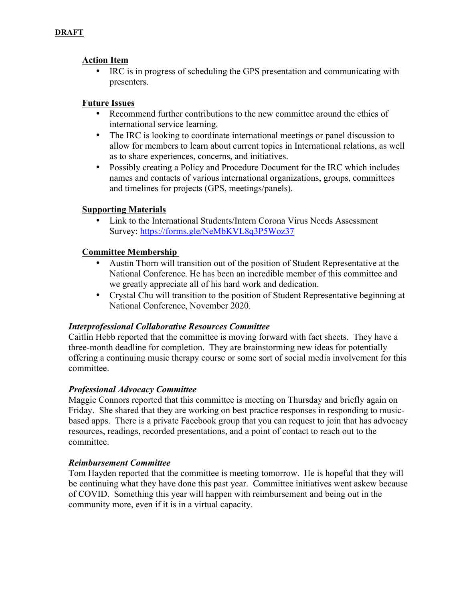### **Action Item**

• IRC is in progress of scheduling the GPS presentation and communicating with presenters.

### **Future Issues**

- Recommend further contributions to the new committee around the ethics of international service learning.
- The IRC is looking to coordinate international meetings or panel discussion to allow for members to learn about current topics in International relations, as well as to share experiences, concerns, and initiatives.
- Possibly creating a Policy and Procedure Document for the IRC which includes names and contacts of various international organizations, groups, committees and timelines for projects (GPS, meetings/panels).

### **Supporting Materials**

• Link to the International Students/Intern Corona Virus Needs Assessment Survey: https://forms.gle/NeMbKVL8q3P5Woz37

### **Committee Membership**

- Austin Thorn will transition out of the position of Student Representative at the National Conference. He has been an incredible member of this committee and we greatly appreciate all of his hard work and dedication.
- Crystal Chu will transition to the position of Student Representative beginning at National Conference, November 2020.

### *Interprofessional Collaborative Resources Committee*

Caitlin Hebb reported that the committee is moving forward with fact sheets. They have a three-month deadline for completion. They are brainstorming new ideas for potentially offering a continuing music therapy course or some sort of social media involvement for this committee.

### *Professional Advocacy Committee*

Maggie Connors reported that this committee is meeting on Thursday and briefly again on Friday. She shared that they are working on best practice responses in responding to musicbased apps. There is a private Facebook group that you can request to join that has advocacy resources, readings, recorded presentations, and a point of contact to reach out to the committee.

### *Reimbursement Committee*

Tom Hayden reported that the committee is meeting tomorrow. He is hopeful that they will be continuing what they have done this past year. Committee initiatives went askew because of COVID. Something this year will happen with reimbursement and being out in the community more, even if it is in a virtual capacity.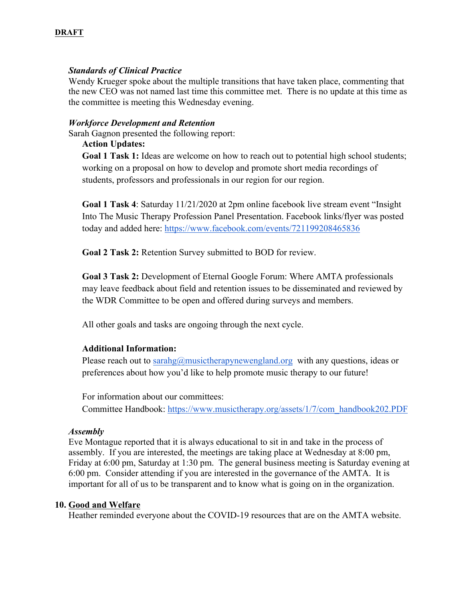### *Standards of Clinical Practice*

Wendy Krueger spoke about the multiple transitions that have taken place, commenting that the new CEO was not named last time this committee met. There is no update at this time as the committee is meeting this Wednesday evening.

#### *Workforce Development and Retention*

Sarah Gagnon presented the following report:

### **Action Updates:**

**Goal 1 Task 1:** Ideas are welcome on how to reach out to potential high school students; working on a proposal on how to develop and promote short media recordings of students, professors and professionals in our region for our region.

**Goal 1 Task 4**: Saturday 11/21/2020 at 2pm online facebook live stream event "Insight Into The Music Therapy Profession Panel Presentation. Facebook links/flyer was posted today and added here: https://www.facebook.com/events/721199208465836

**Goal 2 Task 2:** Retention Survey submitted to BOD for review.

**Goal 3 Task 2:** Development of Eternal Google Forum: Where AMTA professionals may leave feedback about field and retention issues to be disseminated and reviewed by the WDR Committee to be open and offered during surveys and members.

All other goals and tasks are ongoing through the next cycle.

### **Additional Information:**

Please reach out to sarahg@musictherapynewengland.org with any questions, ideas or preferences about how you'd like to help promote music therapy to our future!

For information about our committees: Committee Handbook: https://www.musictherapy.org/assets/1/7/com\_handbook202.PDF

#### *Assembly*

Eve Montague reported that it is always educational to sit in and take in the process of assembly. If you are interested, the meetings are taking place at Wednesday at 8:00 pm, Friday at 6:00 pm, Saturday at 1:30 pm. The general business meeting is Saturday evening at 6:00 pm. Consider attending if you are interested in the governance of the AMTA. It is important for all of us to be transparent and to know what is going on in the organization.

#### **10. Good and Welfare**

Heather reminded everyone about the COVID-19 resources that are on the AMTA website.